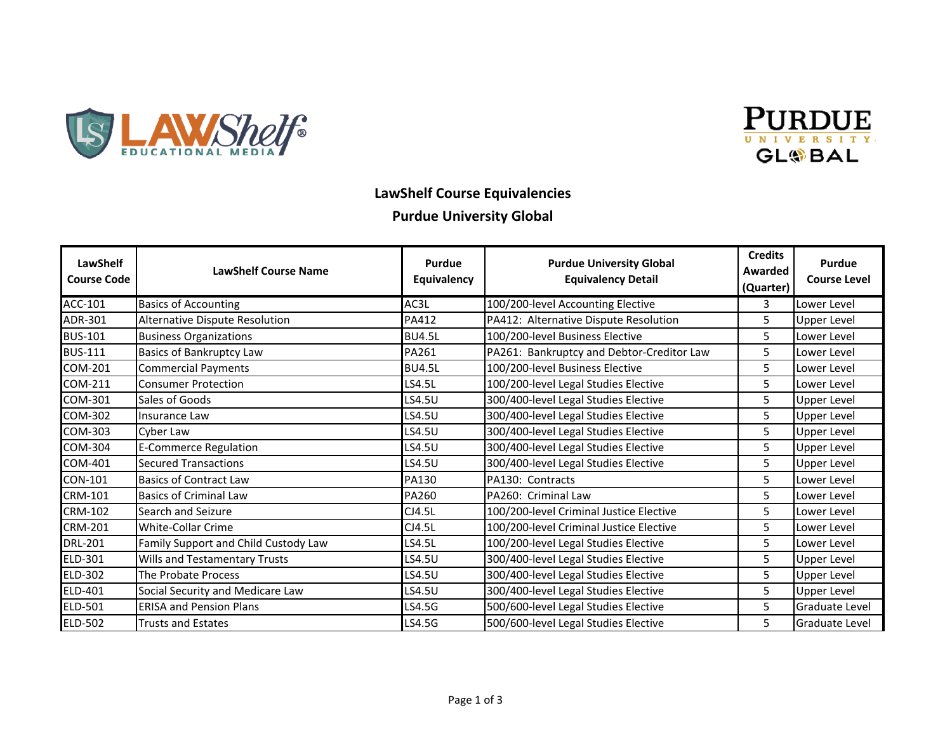



### **LawShelf Course Equivalencies**

#### **Purdue University Global**

| LawShelf<br><b>Course Code</b> | <b>LawShelf Course Name</b>          | Purdue<br>Equivalency | <b>Purdue University Global</b><br><b>Equivalency Detail</b> | <b>Credits</b><br>Awarded<br>(Quarter) | <b>Purdue</b><br><b>Course Level</b> |
|--------------------------------|--------------------------------------|-----------------------|--------------------------------------------------------------|----------------------------------------|--------------------------------------|
| ACC-101                        | <b>Basics of Accounting</b>          | AC3L                  | 100/200-level Accounting Elective                            | 3                                      | Lower Level                          |
| ADR-301                        | Alternative Dispute Resolution       | PA412                 | PA412: Alternative Dispute Resolution                        | 5                                      | Upper Level                          |
| <b>BUS-101</b>                 | <b>Business Organizations</b>        | <b>BU4.5L</b>         | 100/200-level Business Elective                              | 5.                                     | Lower Level                          |
| <b>BUS-111</b>                 | <b>Basics of Bankruptcy Law</b>      | PA261                 | PA261: Bankruptcy and Debtor-Creditor Law                    | 5.                                     | Lower Level                          |
| COM-201                        | <b>Commercial Payments</b>           | <b>BU4.5L</b>         | 100/200-level Business Elective                              | 5.                                     | Lower Level                          |
| <b>COM-211</b>                 | <b>Consumer Protection</b>           | LS4.5L                | 100/200-level Legal Studies Elective                         | 5                                      | Lower Level                          |
| COM-301                        | Sales of Goods                       | LS4.5U                | 300/400-level Legal Studies Elective                         | 5                                      | Upper Level                          |
| <b>COM-302</b>                 | Insurance Law                        | LS4.5U                | 300/400-level Legal Studies Elective                         | 5                                      | Upper Level                          |
| <b>COM-303</b>                 | Cyber Law                            | LS4.5U                | 300/400-level Legal Studies Elective                         | 5                                      | <b>Upper Level</b>                   |
| COM-304                        | E-Commerce Regulation                | LS4.5U                | 300/400-level Legal Studies Elective                         | 5                                      | <b>Upper Level</b>                   |
| COM-401                        | <b>Secured Transactions</b>          | LS4.5U                | 300/400-level Legal Studies Elective                         | 5                                      | <b>Upper Level</b>                   |
| <b>CON-101</b>                 | <b>Basics of Contract Law</b>        | PA130                 | PA130: Contracts                                             | 5                                      | Lower Level                          |
| <b>CRM-101</b>                 | <b>Basics of Criminal Law</b>        | <b>PA260</b>          | PA260: Criminal Law                                          | 5                                      | Lower Level                          |
| <b>CRM-102</b>                 | Search and Seizure                   | CJ4.5L                | 100/200-level Criminal Justice Elective                      | 5                                      | Lower Level                          |
| <b>CRM-201</b>                 | <b>White-Collar Crime</b>            | CJ4.5L                | 100/200-level Criminal Justice Elective                      | 5.                                     | Lower Level                          |
| <b>DRL-201</b>                 | Family Support and Child Custody Law | LS4.5L                | 100/200-level Legal Studies Elective                         | 5                                      | Lower Level                          |
| ELD-301                        | Wills and Testamentary Trusts        | LS4.5U                | 300/400-level Legal Studies Elective                         | 5                                      | Upper Level                          |
| ELD-302                        | The Probate Process                  | LS4.5U                | 300/400-level Legal Studies Elective                         | 5                                      | <b>Upper Level</b>                   |
| ELD-401                        | Social Security and Medicare Law     | LS4.5U                | 300/400-level Legal Studies Elective                         | 5                                      | <b>Upper Level</b>                   |
| <b>ELD-501</b>                 | <b>ERISA and Pension Plans</b>       | LS4.5G                | 500/600-level Legal Studies Elective                         | 5                                      | Graduate Level                       |
| <b>ELD-502</b>                 | <b>Trusts and Estates</b>            | LS4.5G                | 500/600-level Legal Studies Elective                         | 5                                      | Graduate Level                       |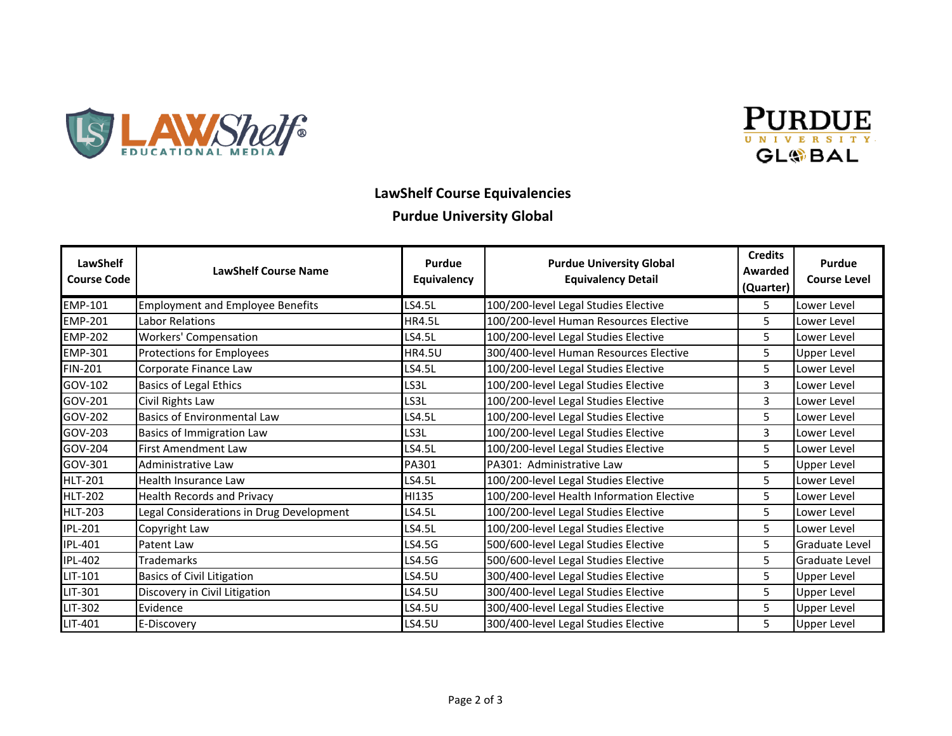



## **LawShelf Course Equivalencies**

#### **Purdue University Global**

| <b>LawShelf</b><br><b>Course Code</b> | <b>LawShelf Course Name</b>              | <b>Purdue</b><br>Equivalency | <b>Purdue University Global</b><br><b>Equivalency Detail</b> | <b>Credits</b><br>Awarded<br>(Quarter) | Purdue<br><b>Course Level</b> |
|---------------------------------------|------------------------------------------|------------------------------|--------------------------------------------------------------|----------------------------------------|-------------------------------|
| EMP-101                               | <b>Employment and Employee Benefits</b>  | LS4.5L                       | 100/200-level Legal Studies Elective                         | 5.                                     | Lower Level                   |
| <b>EMP-201</b>                        | Labor Relations                          | <b>HR4.5L</b>                | 100/200-level Human Resources Elective                       | 5.                                     | Lower Level                   |
| <b>EMP-202</b>                        | <b>Workers' Compensation</b>             | LS4.5L                       | 100/200-level Legal Studies Elective                         | 5                                      | Lower Level                   |
| <b>EMP-301</b>                        | Protections for Employees                | <b>HR4.5U</b>                | 300/400-level Human Resources Elective                       | 5                                      | <b>Upper Level</b>            |
| <b>FIN-201</b>                        | Corporate Finance Law                    | LS4.5L                       | 100/200-level Legal Studies Elective                         | 5                                      | Lower Level                   |
| GOV-102                               | <b>Basics of Legal Ethics</b>            | LS3L                         | 100/200-level Legal Studies Elective                         | 3                                      | Lower Level                   |
| GOV-201                               | Civil Rights Law                         | LS3L                         | 100/200-level Legal Studies Elective                         | 3                                      | Lower Level                   |
| GOV-202                               | Basics of Environmental Law              | LS4.5L                       | 100/200-level Legal Studies Elective                         | 5                                      | Lower Level                   |
| GOV-203                               | Basics of Immigration Law                | LS3L                         | 100/200-level Legal Studies Elective                         | 3                                      | Lower Level                   |
| GOV-204                               | <b>First Amendment Law</b>               | LS4.5L                       | 100/200-level Legal Studies Elective                         | 5                                      | Lower Level                   |
| GOV-301                               | Administrative Law                       | PA301                        | PA301: Administrative Law                                    | 5                                      | Upper Level                   |
| <b>HLT-201</b>                        | Health Insurance Law                     | LS4.5L                       | 100/200-level Legal Studies Elective                         | 5                                      | Lower Level                   |
| <b>HLT-202</b>                        | <b>Health Records and Privacy</b>        | HI135                        | 100/200-level Health Information Elective                    | 5.                                     | Lower Level                   |
| <b>HLT-203</b>                        | Legal Considerations in Drug Development | LS4.5L                       | 100/200-level Legal Studies Elective                         | 5.                                     | Lower Level                   |
| <b>IPL-201</b>                        | Copyright Law                            | LS4.5L                       | 100/200-level Legal Studies Elective                         | 5.                                     | Lower Level                   |
| <b>IPL-401</b>                        | Patent Law                               | LS4.5G                       | 500/600-level Legal Studies Elective                         | 5                                      | Graduate Level                |
| <b>IPL-402</b>                        | <b>Trademarks</b>                        | LS4.5G                       | 500/600-level Legal Studies Elective                         | 5                                      | Graduate Level                |
| LIT-101                               | <b>Basics of Civil Litigation</b>        | LS4.5U                       | 300/400-level Legal Studies Elective                         | 5                                      | Upper Level                   |
| LIT-301                               | Discovery in Civil Litigation            | LS4.5U                       | 300/400-level Legal Studies Elective                         | 5                                      | <b>Upper Level</b>            |
| LIT-302                               | Evidence                                 | LS4.5U                       | 300/400-level Legal Studies Elective                         | 5                                      | <b>Upper Level</b>            |
| LIT-401                               | E-Discovery                              | LS4.5U                       | 300/400-level Legal Studies Elective                         | 5.                                     | <b>Upper Level</b>            |